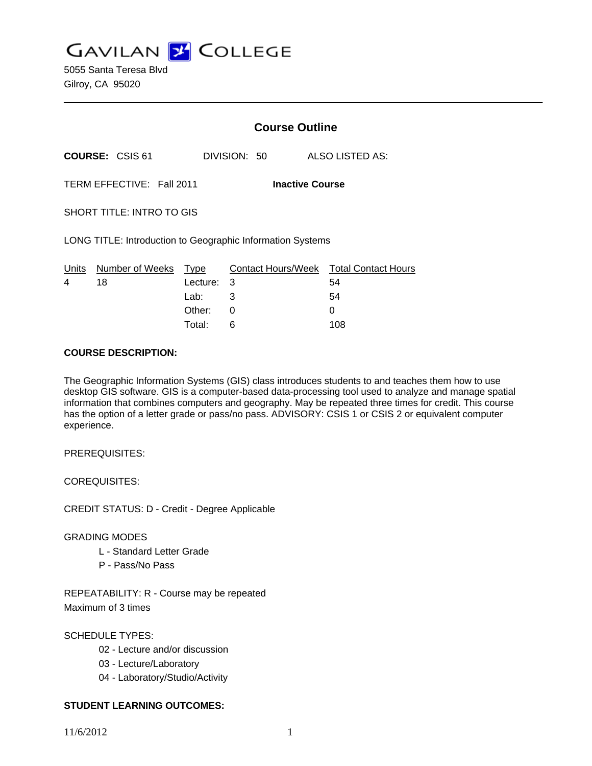

5055 Santa Teresa Blvd Gilroy, CA 95020

|                                                            |                            | <b>Course Outline</b> |              |                                        |
|------------------------------------------------------------|----------------------------|-----------------------|--------------|----------------------------------------|
|                                                            | <b>COURSE: CSIS 61</b>     |                       | DIVISION: 50 | ALSO LISTED AS:                        |
| TERM EFFECTIVE: Fall 2011<br><b>Inactive Course</b>        |                            |                       |              |                                        |
| SHORT TITLE: INTRO TO GIS                                  |                            |                       |              |                                        |
| LONG TITLE: Introduction to Geographic Information Systems |                            |                       |              |                                        |
|                                                            | Units Number of Weeks Type |                       |              | Contact Hours/Week Total Contact Hours |
| 4                                                          | 18                         | Lecture: 3            |              | 54                                     |
|                                                            |                            | Lab: Lab              | 3            | 54                                     |
|                                                            |                            | Other:                | 0            | 0                                      |
|                                                            |                            | Total:                | 6            | 108                                    |

#### **COURSE DESCRIPTION:**

The Geographic Information Systems (GIS) class introduces students to and teaches them how to use desktop GIS software. GIS is a computer-based data-processing tool used to analyze and manage spatial information that combines computers and geography. May be repeated three times for credit. This course has the option of a letter grade or pass/no pass. ADVISORY: CSIS 1 or CSIS 2 or equivalent computer experience.

PREREQUISITES:

COREQUISITES:

CREDIT STATUS: D - Credit - Degree Applicable

## GRADING MODES

- L Standard Letter Grade
- P Pass/No Pass

REPEATABILITY: R - Course may be repeated Maximum of 3 times

SCHEDULE TYPES:

- 02 Lecture and/or discussion
- 03 Lecture/Laboratory
- 04 Laboratory/Studio/Activity

# **STUDENT LEARNING OUTCOMES:**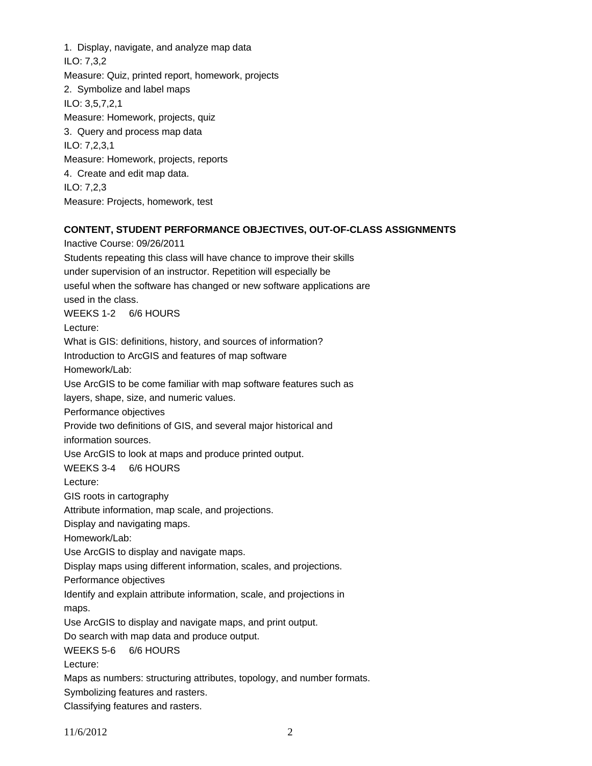1. Display, navigate, and analyze map data ILO: 7,3,2 Measure: Quiz, printed report, homework, projects 2. Symbolize and label maps ILO: 3,5,7,2,1 Measure: Homework, projects, quiz 3. Query and process map data ILO: 7,2,3,1 Measure: Homework, projects, reports 4. Create and edit map data. ILO: 7,2,3 Measure: Projects, homework, test

## **CONTENT, STUDENT PERFORMANCE OBJECTIVES, OUT-OF-CLASS ASSIGNMENTS**

Inactive Course: 09/26/2011 Students repeating this class will have chance to improve their skills under supervision of an instructor. Repetition will especially be useful when the software has changed or new software applications are used in the class. WEEKS 1-2 6/6 HOURS Lecture: What is GIS: definitions, history, and sources of information? Introduction to ArcGIS and features of map software Homework/Lab: Use ArcGIS to be come familiar with map software features such as layers, shape, size, and numeric values. Performance objectives Provide two definitions of GIS, and several major historical and information sources. Use ArcGIS to look at maps and produce printed output. WEEKS 3-4 6/6 HOURS Lecture: GIS roots in cartography Attribute information, map scale, and projections. Display and navigating maps. Homework/Lab: Use ArcGIS to display and navigate maps. Display maps using different information, scales, and projections. Performance objectives Identify and explain attribute information, scale, and projections in maps. Use ArcGIS to display and navigate maps, and print output. Do search with map data and produce output. WEEKS 5-6 6/6 HOURS Lecture: Maps as numbers: structuring attributes, topology, and number formats. Symbolizing features and rasters. Classifying features and rasters.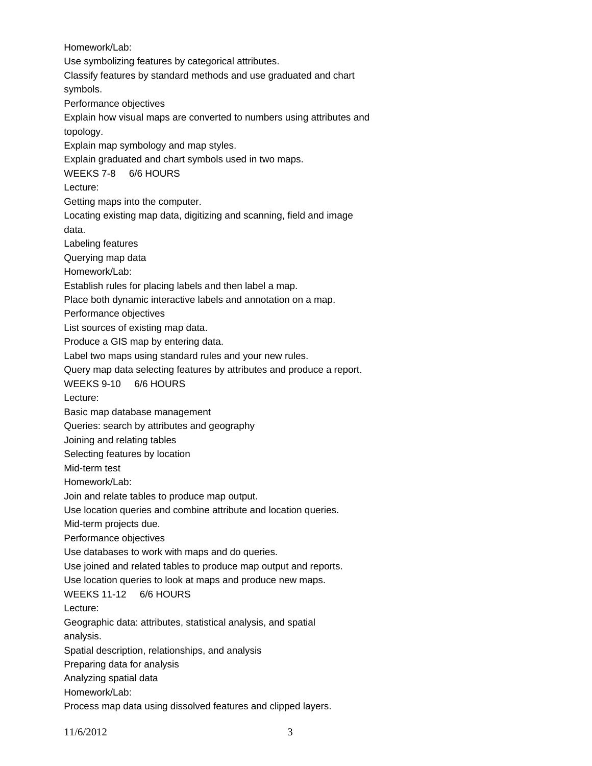Homework/Lab: Use symbolizing features by categorical attributes. Classify features by standard methods and use graduated and chart symbols. Performance objectives Explain how visual maps are converted to numbers using attributes and topology. Explain map symbology and map styles. Explain graduated and chart symbols used in two maps. WEEKS 7-8 6/6 HOURS Lecture: Getting maps into the computer. Locating existing map data, digitizing and scanning, field and image data. Labeling features Querying map data Homework/Lab: Establish rules for placing labels and then label a map. Place both dynamic interactive labels and annotation on a map. Performance objectives List sources of existing map data. Produce a GIS map by entering data. Label two maps using standard rules and your new rules. Query map data selecting features by attributes and produce a report. WEEKS 9-10 6/6 HOURS Lecture: Basic map database management Queries: search by attributes and geography Joining and relating tables Selecting features by location Mid-term test Homework/Lab: Join and relate tables to produce map output. Use location queries and combine attribute and location queries. Mid-term projects due. Performance objectives Use databases to work with maps and do queries. Use joined and related tables to produce map output and reports. Use location queries to look at maps and produce new maps. WEEKS 11-12 6/6 HOURS Lecture: Geographic data: attributes, statistical analysis, and spatial analysis. Spatial description, relationships, and analysis Preparing data for analysis Analyzing spatial data Homework/Lab: Process map data using dissolved features and clipped layers.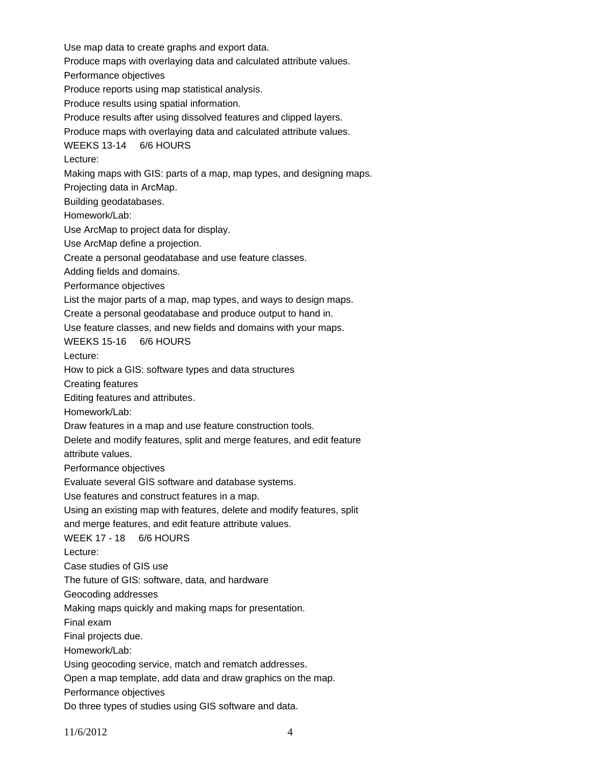Use map data to create graphs and export data. Produce maps with overlaying data and calculated attribute values. Performance objectives Produce reports using map statistical analysis. Produce results using spatial information. Produce results after using dissolved features and clipped layers. Produce maps with overlaying data and calculated attribute values. WEEKS 13-14 6/6 HOURS Lecture: Making maps with GIS: parts of a map, map types, and designing maps. Projecting data in ArcMap. Building geodatabases. Homework/Lab: Use ArcMap to project data for display. Use ArcMap define a projection. Create a personal geodatabase and use feature classes. Adding fields and domains. Performance objectives List the major parts of a map, map types, and ways to design maps. Create a personal geodatabase and produce output to hand in. Use feature classes, and new fields and domains with your maps. WEEKS 15-16 6/6 HOURS Lecture: How to pick a GIS: software types and data structures Creating features Editing features and attributes. Homework/Lab: Draw features in a map and use feature construction tools. Delete and modify features, split and merge features, and edit feature attribute values. Performance objectives Evaluate several GIS software and database systems. Use features and construct features in a map. Using an existing map with features, delete and modify features, split and merge features, and edit feature attribute values. WEEK 17 - 18 6/6 HOURS Lecture: Case studies of GIS use The future of GIS: software, data, and hardware Geocoding addresses Making maps quickly and making maps for presentation. Final exam Final projects due. Homework/Lab: Using geocoding service, match and rematch addresses. Open a map template, add data and draw graphics on the map. Performance objectives Do three types of studies using GIS software and data.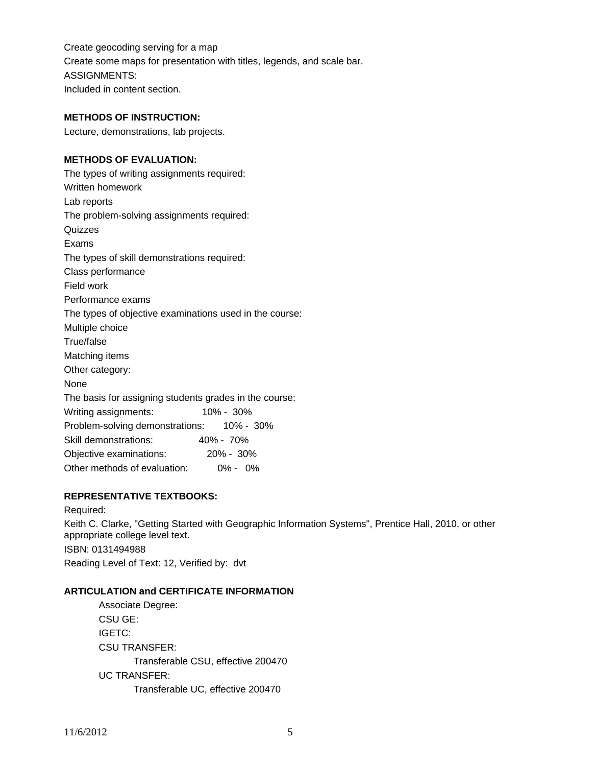Create geocoding serving for a map Create some maps for presentation with titles, legends, and scale bar. ASSIGNMENTS: Included in content section.

#### **METHODS OF INSTRUCTION:**

Lecture, demonstrations, lab projects.

### **METHODS OF EVALUATION:**

The types of writing assignments required: Written homework Lab reports The problem-solving assignments required: Quizzes Exams The types of skill demonstrations required: Class performance Field work Performance exams The types of objective examinations used in the course: Multiple choice True/false Matching items Other category: None The basis for assigning students grades in the course: Writing assignments: 10% - 30% Problem-solving demonstrations: 10% - 30% Skill demonstrations: 40% - 70% Objective examinations: 20% - 30% Other methods of evaluation: 0% - 0%

## **REPRESENTATIVE TEXTBOOKS:**

Required: Keith C. Clarke, "Getting Started with Geographic Information Systems", Prentice Hall, 2010, or other appropriate college level text. ISBN: 0131494988 Reading Level of Text: 12, Verified by: dvt

#### **ARTICULATION and CERTIFICATE INFORMATION**

 Transferable CSU, effective 200470 UC TRANSFER: Transferable UC, effective 200470 Associate Degree: CSU GE: IGETC: CSU TRANSFER: